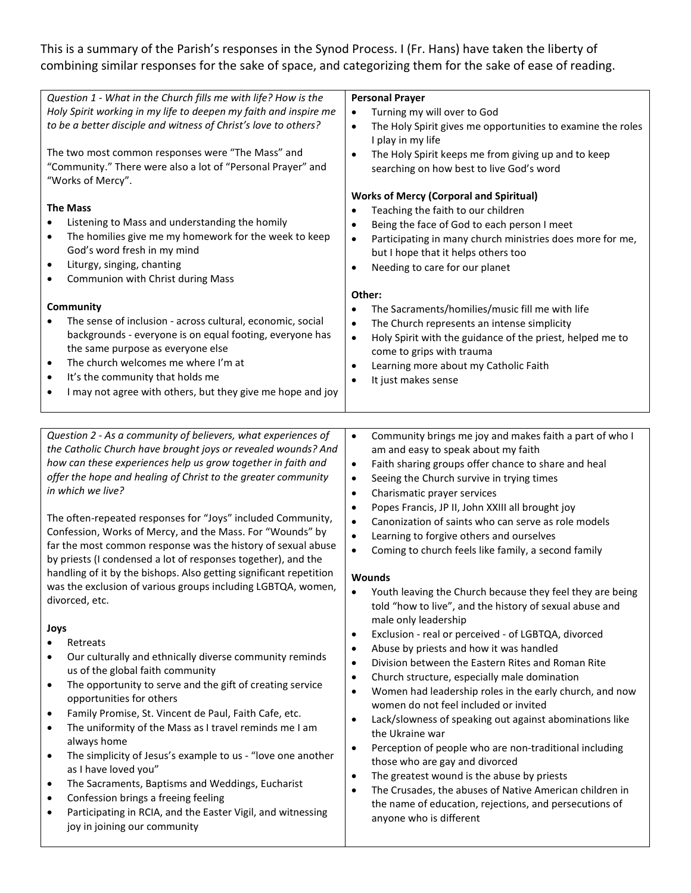# This is a summary of the Parish's responses in the Synod Process. I (Fr. Hans) have taken the liberty of combining similar responses for the sake of space, and categorizing them for the sake of ease of reading.

| Question 1 - What in the Church fills me with life? How is the<br>Holy Spirit working in my life to deepen my faith and inspire me<br>to be a better disciple and witness of Christ's love to others?<br>The two most common responses were "The Mass" and<br>"Community." There were also a lot of "Personal Prayer" and<br>"Works of Mercy".<br><b>The Mass</b><br>Listening to Mass and understanding the homily<br>$\bullet$<br>The homilies give me my homework for the week to keep<br>$\bullet$<br>God's word fresh in my mind                                                                                                                                                                                                                                                                                                                                                                                                                                                                                                                                                                                    | <b>Personal Prayer</b><br>Turning my will over to God<br>$\bullet$<br>The Holy Spirit gives me opportunities to examine the roles<br>$\bullet$<br>I play in my life<br>The Holy Spirit keeps me from giving up and to keep<br>$\bullet$<br>searching on how best to live God's word<br><b>Works of Mercy (Corporal and Spiritual)</b><br>Teaching the faith to our children<br>Being the face of God to each person I meet<br>$\bullet$<br>Participating in many church ministries does more for me,<br>$\bullet$                                                                                                                                                                                                                                                                                                                                                                                                                                                                                                                                                                                                                                                                               |
|--------------------------------------------------------------------------------------------------------------------------------------------------------------------------------------------------------------------------------------------------------------------------------------------------------------------------------------------------------------------------------------------------------------------------------------------------------------------------------------------------------------------------------------------------------------------------------------------------------------------------------------------------------------------------------------------------------------------------------------------------------------------------------------------------------------------------------------------------------------------------------------------------------------------------------------------------------------------------------------------------------------------------------------------------------------------------------------------------------------------------|-------------------------------------------------------------------------------------------------------------------------------------------------------------------------------------------------------------------------------------------------------------------------------------------------------------------------------------------------------------------------------------------------------------------------------------------------------------------------------------------------------------------------------------------------------------------------------------------------------------------------------------------------------------------------------------------------------------------------------------------------------------------------------------------------------------------------------------------------------------------------------------------------------------------------------------------------------------------------------------------------------------------------------------------------------------------------------------------------------------------------------------------------------------------------------------------------|
| Liturgy, singing, chanting<br>$\bullet$                                                                                                                                                                                                                                                                                                                                                                                                                                                                                                                                                                                                                                                                                                                                                                                                                                                                                                                                                                                                                                                                                  | but I hope that it helps others too<br>Needing to care for our planet<br>$\bullet$                                                                                                                                                                                                                                                                                                                                                                                                                                                                                                                                                                                                                                                                                                                                                                                                                                                                                                                                                                                                                                                                                                              |
| Communion with Christ during Mass<br>٠                                                                                                                                                                                                                                                                                                                                                                                                                                                                                                                                                                                                                                                                                                                                                                                                                                                                                                                                                                                                                                                                                   |                                                                                                                                                                                                                                                                                                                                                                                                                                                                                                                                                                                                                                                                                                                                                                                                                                                                                                                                                                                                                                                                                                                                                                                                 |
|                                                                                                                                                                                                                                                                                                                                                                                                                                                                                                                                                                                                                                                                                                                                                                                                                                                                                                                                                                                                                                                                                                                          | Other:                                                                                                                                                                                                                                                                                                                                                                                                                                                                                                                                                                                                                                                                                                                                                                                                                                                                                                                                                                                                                                                                                                                                                                                          |
| Community                                                                                                                                                                                                                                                                                                                                                                                                                                                                                                                                                                                                                                                                                                                                                                                                                                                                                                                                                                                                                                                                                                                | The Sacraments/homilies/music fill me with life<br>$\bullet$                                                                                                                                                                                                                                                                                                                                                                                                                                                                                                                                                                                                                                                                                                                                                                                                                                                                                                                                                                                                                                                                                                                                    |
| The sense of inclusion - across cultural, economic, social                                                                                                                                                                                                                                                                                                                                                                                                                                                                                                                                                                                                                                                                                                                                                                                                                                                                                                                                                                                                                                                               | The Church represents an intense simplicity<br>$\bullet$                                                                                                                                                                                                                                                                                                                                                                                                                                                                                                                                                                                                                                                                                                                                                                                                                                                                                                                                                                                                                                                                                                                                        |
| backgrounds - everyone is on equal footing, everyone has                                                                                                                                                                                                                                                                                                                                                                                                                                                                                                                                                                                                                                                                                                                                                                                                                                                                                                                                                                                                                                                                 | Holy Spirit with the guidance of the priest, helped me to<br>$\bullet$                                                                                                                                                                                                                                                                                                                                                                                                                                                                                                                                                                                                                                                                                                                                                                                                                                                                                                                                                                                                                                                                                                                          |
| the same purpose as everyone else                                                                                                                                                                                                                                                                                                                                                                                                                                                                                                                                                                                                                                                                                                                                                                                                                                                                                                                                                                                                                                                                                        | come to grips with trauma                                                                                                                                                                                                                                                                                                                                                                                                                                                                                                                                                                                                                                                                                                                                                                                                                                                                                                                                                                                                                                                                                                                                                                       |
| The church welcomes me where I'm at<br>$\bullet$                                                                                                                                                                                                                                                                                                                                                                                                                                                                                                                                                                                                                                                                                                                                                                                                                                                                                                                                                                                                                                                                         | Learning more about my Catholic Faith<br>$\bullet$                                                                                                                                                                                                                                                                                                                                                                                                                                                                                                                                                                                                                                                                                                                                                                                                                                                                                                                                                                                                                                                                                                                                              |
| It's the community that holds me<br>$\bullet$                                                                                                                                                                                                                                                                                                                                                                                                                                                                                                                                                                                                                                                                                                                                                                                                                                                                                                                                                                                                                                                                            | It just makes sense<br>$\bullet$                                                                                                                                                                                                                                                                                                                                                                                                                                                                                                                                                                                                                                                                                                                                                                                                                                                                                                                                                                                                                                                                                                                                                                |
| I may not agree with others, but they give me hope and joy<br>٠                                                                                                                                                                                                                                                                                                                                                                                                                                                                                                                                                                                                                                                                                                                                                                                                                                                                                                                                                                                                                                                          |                                                                                                                                                                                                                                                                                                                                                                                                                                                                                                                                                                                                                                                                                                                                                                                                                                                                                                                                                                                                                                                                                                                                                                                                 |
|                                                                                                                                                                                                                                                                                                                                                                                                                                                                                                                                                                                                                                                                                                                                                                                                                                                                                                                                                                                                                                                                                                                          |                                                                                                                                                                                                                                                                                                                                                                                                                                                                                                                                                                                                                                                                                                                                                                                                                                                                                                                                                                                                                                                                                                                                                                                                 |
| Question 2 - As a community of believers, what experiences of<br>the Catholic Church have brought joys or revealed wounds? And<br>how can these experiences help us grow together in faith and<br>offer the hope and healing of Christ to the greater community<br>in which we live?<br>The often-repeated responses for "Joys" included Community,<br>Confession, Works of Mercy, and the Mass. For "Wounds" by<br>far the most common response was the history of sexual abuse<br>by priests (I condensed a lot of responses together), and the<br>handling of it by the bishops. Also getting significant repetition<br>was the exclusion of various groups including LGBTQA, women,<br>divorced, etc.<br>Joys<br>Retreats<br>$\bullet$<br>Our culturally and ethnically diverse community reminds<br>$\bullet$<br>us of the global faith community<br>The opportunity to serve and the gift of creating service<br>$\bullet$<br>opportunities for others<br>Family Promise, St. Vincent de Paul, Faith Cafe, etc.<br>$\bullet$<br>The uniformity of the Mass as I travel reminds me I am<br>$\bullet$<br>always home | $\bullet$<br>Community brings me joy and makes faith a part of who I<br>am and easy to speak about my faith<br>Faith sharing groups offer chance to share and heal<br>$\bullet$<br>Seeing the Church survive in trying times<br>$\bullet$<br>Charismatic prayer services<br>$\bullet$<br>Popes Francis, JP II, John XXIII all brought joy<br>$\bullet$<br>Canonization of saints who can serve as role models<br>$\bullet$<br>Learning to forgive others and ourselves<br>$\bullet$<br>Coming to church feels like family, a second family<br>$\bullet$<br><b>Wounds</b><br>Youth leaving the Church because they feel they are being<br>told "how to live", and the history of sexual abuse and<br>male only leadership<br>Exclusion - real or perceived - of LGBTQA, divorced<br>$\bullet$<br>Abuse by priests and how it was handled<br>$\bullet$<br>Division between the Eastern Rites and Roman Rite<br>$\bullet$<br>Church structure, especially male domination<br>$\bullet$<br>Women had leadership roles in the early church, and now<br>$\bullet$<br>women do not feel included or invited<br>Lack/slowness of speaking out against abominations like<br>$\bullet$<br>the Ukraine war |
| The simplicity of Jesus's example to us - "love one another<br>$\bullet$<br>as I have loved you"<br>The Sacraments, Baptisms and Weddings, Eucharist<br>$\bullet$<br>Confession brings a freeing feeling<br>$\bullet$<br>Participating in RCIA, and the Easter Vigil, and witnessing<br>$\bullet$<br>joy in joining our community                                                                                                                                                                                                                                                                                                                                                                                                                                                                                                                                                                                                                                                                                                                                                                                        | Perception of people who are non-traditional including<br>$\bullet$<br>those who are gay and divorced<br>The greatest wound is the abuse by priests<br>$\bullet$<br>The Crusades, the abuses of Native American children in<br>$\bullet$<br>the name of education, rejections, and persecutions of<br>anyone who is different                                                                                                                                                                                                                                                                                                                                                                                                                                                                                                                                                                                                                                                                                                                                                                                                                                                                   |